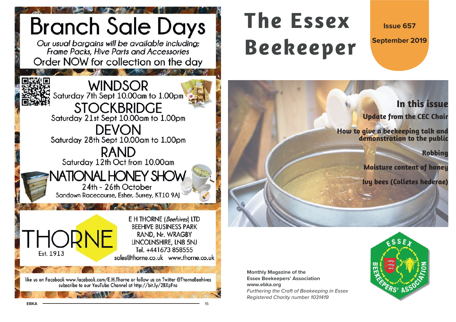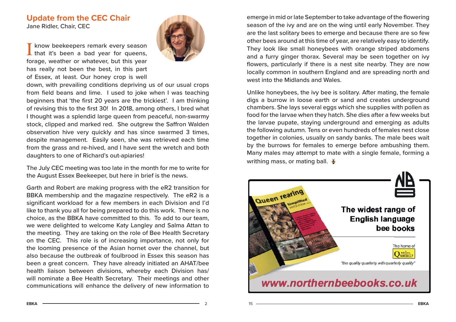## **Update from the CEC Chair** Jane Ridler, Chair, CEC

I know beekeepers remark every season<br>that it's been a bad year for queens, forage, weather or whatever, but this year has really not been the best, in this part of Essex, at least. Our honey crop is well



down, with prevailing conditions depriving us of our usual crops from field beans and lime. I used to joke when I was teaching beginners that 'the first 20 years are the trickiest'. I am thinking of revising this to the first 30! In 2018, among others, I bred what I thought was a splendid large queen from peaceful, non-swarmy stock, clipped and marked red. She outgrew the Saffron Walden observation hive very quickly and has since swarmed 3 times, despite management. Easily seen, she was retrieved each time from the grass and re-hived, and I have sent the wretch and both daughters to one of Richard's out-apiaries!

The July CEC meeting was too late in the month for me to write for the August Essex Beekeeper, but here in brief is the news.

Garth and Robert are making progress with the eR2 transition for BBKA membership and the magazine respectively. The eR2 is a significant workload for a few members in each Division and I'd like to thank you all for being prepared to do this work. There is no choice, as the BBKA have committed to this. To add to our team, we were delighted to welcome Katy Langley and Salma Attan to the meeting. They are taking on the role of Bee Health Secretary on the CEC. This role is of increasing importance, not only for the looming presence of the Asian hornet over the channel, but also because the outbreak of foulbrood in Essex this season has been a great concern. They have already initiated an AHAT/bee health liaison between divisions, whereby each Division has/ will nominate a Bee Health Secretary. Their meetings and other communications will enhance the delivery of new information to

emerge in mid or late September to take advantage of the flowering season of the ivy and are on the wing until early November. They are the last solitary bees to emerge and because there are so few other bees around at this time of year, are relatively easy to identify. They look like small honeybees with orange striped abdomens and a furry ginger thorax. Several may be seen together on ivy flowers, particularly if there is a nest site nearby. They are now locally common in southern England and are spreading north and west into the Midlands and Wales.

Unlike honeybees, the ivy bee is solitary. After mating, the female digs a burrow in loose earth or sand and creates underground chambers. She lays several eggs which she supplies with pollen as food for the larvae when they hatch. She dies after a few weeks but the larvae pupate, staying underground and emerging as adults the following autumn. Tens or even hundreds of females nest close together in colonies, usually on sandy banks. The male bees wait by the burrows for females to emerge before ambushing them. Many males may attempt to mate with a single female, forming a writhing mass, or mating ball.  $\blacktriangleright$ 

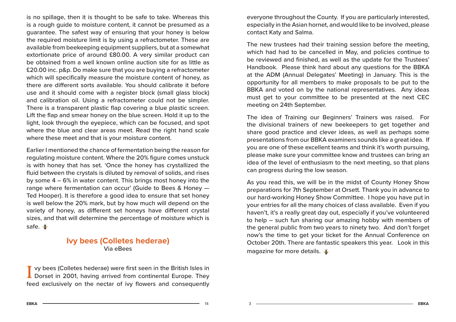is no spillage, then it is thought to be safe to take. Whereas this is a rough guide to moisture content, it cannot be presumed as a guarantee. The safest way of ensuring that your honey is below the required moisture limit is by using a refractometer. These are available from beekeeping equipment suppliers, but at a somewhat extortionate price of around £80.00. A very similar product can be obtained from a well known online auction site for as little as £20.00 inc. p&p. Do make sure that you are buying a refractometer which will specifically measure the moisture content of honey, as there are different sorts available. You should calibrate it before use and it should come with a register block (small glass block) and calibration oil. Using a refractometer could not be simpler. There is a transparent plastic flap covering a blue plastic screen. Lift the flap and smear honey on the blue screen. Hold it up to the light, look through the eyepiece, which can be focused, and spot where the blue and clear areas meet. Read the right hand scale where these meet and that is your moisture content.

Earlier I mentioned the chance of fermentation being the reason for regulating moisture content. Where the 20% figure comes unstuck is with honey that has set. 'Once the honey has crystallized the fluid between the crystals is diluted by removal of solids, and rises by some 4 – 6% in water content. This brings most honey into the range where fermentation can occur' (Guide to Bees & Honey — Ted Hooper). It is therefore a good idea to ensure that set honey is well below the 20% mark, but by how much will depend on the variety of honey, as different set honeys have different crystal sizes, and that will determine the percentage of moisture which is safe.

## **Ivy bees (Colletes hederae)** Via eBees

I vy bees (Colletes hederae) were first seen in the British Isles in Dorset in 2001, having arrived from continental Europe. They feed exclusively on the nectar of ivy flowers and consequently everyone throughout the County. If you are particularly interested, especially in the Asian hornet, and would like to be involved, please contact Katy and Salma.

The new trustees had their training session before the meeting, which had had to be cancelled in May, and policies continue to be reviewed and finished, as well as the update for the Trustees' Handbook. Please think hard about any questions for the BBKA at the ADM (Annual Delegates' Meeting) in January. This is the opportunity for all members to make proposals to be put to the BBKA and voted on by the national representatives. Any ideas must get to your committee to be presented at the next CEC meeting on 24th September.

The idea of Training our Beginners' Trainers was raised. For the divisional trainers of new beekeepers to get together and share good practice and clever ideas, as well as perhaps some presentations from our BBKA examiners sounds like a great idea. If you are one of these excellent teams and think it's worth pursuing, please make sure your committee know and trustees can bring an idea of the level of enthusiasm to the next meeting, so that plans can progress during the low season.

As you read this, we will be in the midst of County Honey Show preparations for 7th September at Orsett. Thank you in advance to our hard-working Honey Show Committee. I hope you have put in your entries for all the many choices of class available. Even if you haven't, it's a really great day out, especially if you've volunteered to help – such fun sharing our amazing hobby with members of the general public from two years to ninety two. And don't forget now's the time to get your ticket for the Annual Conference on October 20th. There are fantastic speakers this year. Look in this magazine for more details.

 $A =$  14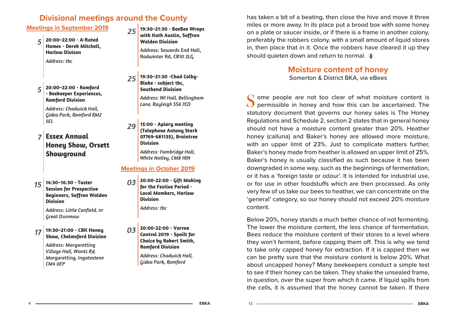# **Divisional meetings around the County**

# **Meetings in September 2019** *5* **20:00–22:00 - A-Rated Homes - Derek Mitchell, Harlow Divison***Address: tbc*

*5* **20:00–22:00 - Romford - Beekeeper Experiences, Romford Division**

> *Address: Chadwick Hall, Gidea Park, Romford RM2 5EL*

### *7* **Essex Annual Honey Show, Orsett Showground**

*15* **14:30–16:30 - Taster Session for Prospective Beginners, Saffron Walden Division**

> *Address: Little Canfield, nr Great Dunmow*

*17***19:30–21:00 - CBK Honey Show, Chelmsford Division**

4

*Address: Margaretting Village Hall, Wantz Rd, Margaretting, Ingatestone CM4 0EP*

*25* **19:30–21:30 - BeeBee Wraps with Kath Austin, Saffron Walden Division**

> Address: Sewards End Hall, Radwinter Rd, CB10 2LG

*25* **19:30–21:30 -Chad Colby- Blake - subject tbc, Southend Division***Address: WI Hall, Bellingham* 

*Lane, Rayleigh SS6 7ED*

*29* **15:00 - Apiary meeting (Telephone Antony Stark 07769-681135), Braintree Division**

> *Address: Fambridge Hall, White Notley, CM8 1RN*

## **Meetings in October 2019**

*03* **20:00-22:00 - Gift Making for the Festive Period - Local Members, Harlow Division**

*Address: tbc*

*03* **20:00-22:00 - Varroa Control 2019 - Spoilt for Choice by Robert Smith, Romford Division**

*Address: Chadwick Hall, Gidea Park, Romford*

has taken a bit of a beating, then close the hive and move it three miles or more away. In its place put a brood box with some honey on a plate or saucer inside, or if there is a frame in another colony, preferably the robbers colony, with a small amount of liquid stores in, then place that in it. Once the robbers have cleared it up they should quieten down and return to normal.  $\blacktriangleright$ 

# **Moisture content of honey**

Somerton & District BKA, via eBees

ome people are not too clear of what moisture content is permissible in honey and how this can be ascertained. The statutory document that governs our honey sales is The Honey Regulations and Schedule 2, section 2 states that in general honey should not have a moisture content greater than 20%. Heather honey (calluna) and Baker's honey are allowed more moisture, with an upper limit of 23%. Just to complicate matters further, Baker's honey made from heather is allowed an upper limit of 25%. Baker's honey is usually classified as such because it has been downgraded in some way, such as the beginnings of fermentation, or it has a 'foreign taste or odour'. It is intended for industrial use, or for use in other foodstuffs which are then processed. As only very few of us take our bees to heather, we can concentrate on the 'general' category, so our honey should not exceed 20% moisture content.

Below 20%, honey stands a much better chance of not fermenting. The lower the moisture content, the less chance of fermentation. Bees reduce the moisture content of their stores to a level where they won't ferment, before capping them off. This is why we tend to take only capped honey for extraction. If it is capped then we can be pretty sure that the moisture content is below 20%. What about uncapped honey? Many beekeepers conduct a simple test to see if their honey can be taken. They shake the unsealed frame, in question, over the super from which it came. If liquid spills from the cells, it is assumed that the honey cannot be taken. If there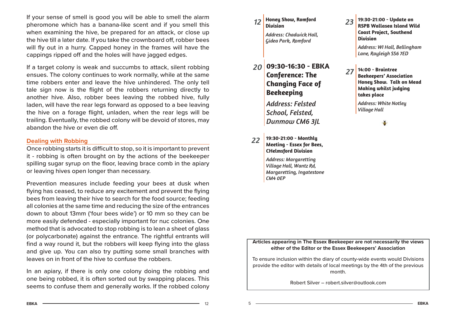If your sense of smell is good you will be able to smell the alarm pheromone which has a banana-like scent and if you smell this when examining the hive, be prepared for an attack, or close up the hive till a later date. If you take the crownboard off, robber bees will fly out in a hurry. Capped honey in the frames will have the cappings ripped off and the holes will have jagged edges.

If a target colony is weak and succumbs to attack, silent robbing ensues. The colony continues to work normally, while at the same time robbers enter and leave the hive unhindered. The only tell tale sign now is the flight of the robbers returning directly to another hive. Also, robber bees leaving the robbed hive, fully laden, will have the rear legs forward as opposed to a bee leaving the hive on a forage flight, unladen, when the rear legs will be trailing. Eventually, the robbed colony will be devoid of stores, may abandon the hive or even die off.

### **Dealing with Robbing**

Once robbing starts it is difficult to stop, so it is important to prevent it - robbing is often brought on by the actions of the beekeeper spilling sugar syrup on the floor, leaving brace comb in the apiary or leaving hives open longer than necessary.

Prevention measures include feeding your bees at dusk when flying has ceased, to reduce any excitement and prevent the flying bees from leaving their hive to search for the food source; feeding all colonies at the same time and reducing the size of the entrances down to about 13mm ('four bees wide') or 10 mm so they can be more easily defended - especially important for nuc colonies. One method that is advocated to stop robbing is to lean a sheet of glass (or polycarbonate) against the entrance. The rightful entrants will find a way round it, but the robbers will keep flying into the glass and give up. You can also try putting some small branches with leaves on in front of the hive to confuse the robbers.

In an apiary, if there is only one colony doing the robbing and one being robbed, it is often sorted out by swapping places. This seems to confuse them and generally works. If the robbed colony *12***Honey Show, Romford Division**

*Address: Chadwick Hall, Gidea Park, Romford*

- *20* **09:30-16:30 EBKA Conference: The Changing Face of Beekeeping** *Address: Felsted School, Felsted, Dunmow CM6 3JL*
- *22* **19:30-21:00 - Monthly Meeting - Essex for Bees, CHelmsford Division**

*Address: Margaretting Village Hall, Wantz Rd, Margaretting, Ingatestone CM4 0EP*

*23* **19:30-21:00 - Update on RSPB Wallasea Island Wild Coast Project, Southend Division**

*Address: WI Hall, Bellingham Lane, Rayleigh SS6 7ED*

*27* **14:00 - Braintree Beekeepers' Association Honey Show. Talk on Mead Making whilst judging takes place**

> *Address: White Notley Village Hall*

> > ĕ

### **Articles appearing in The Essex Beekeeper are not necessarily the views either of the Editor or the Essex Beekeepers' Association**

To ensure inclusion within the diary of county-wide events would Divisions provide the editor with details of local meetings by the 4th of the previous month.

Robert Silver – robert.silver@outlook.com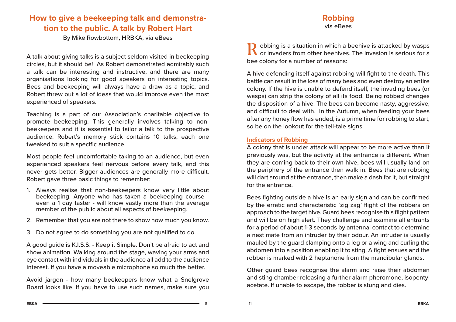## **How to give a beekeeping talk and demonstration to the public. A talk by Robert Hart**

By Mike Rowbottom, HRBKA, via eBees

A talk about giving talks is a subject seldom visited in beekeeping circles, but it should be! As Robert demonstrated admirably such a talk can be interesting and instructive, and there are many organisations looking for good speakers on interesting topics. Bees and beekeeping will always have a draw as a topic, and Robert threw out a lot of ideas that would improve even the most experienced of speakers.

Teaching is a part of our Association's charitable objective to promote beekeeping. This generally involves talking to nonbeekeepers and it is essential to tailor a talk to the prospective audience. Robert's memory stick contains 10 talks, each one tweaked to suit a specific audience.

Most people feel uncomfortable taking to an audience, but even experienced speakers feel nervous before every talk, and this never gets better. Bigger audiences are generally more difficult. Robert gave three basic things to remember:

- 1. Always realise that non-beekeepers know very little about beekeeping. Anyone who has taken a beekeeping course even a 1 day taster - will know vastly more than the average member of the public about all aspects of beekeeping.
- 2. Remember that you are not there to show how much you know.
- 3. Do not agree to do something you are not qualified to do.

A good guide is K.I.S.S. - Keep it Simple. Don't be afraid to act and show animation. Walking around the stage, waving your arms and eye contact with individuals in the audience all add to the audience interest. If you have a moveable microphone so much the better.

Avoid jargon - how many beekeepers know what a Snelgrove Board looks like. If you have to use such names, make sure you

# **Robbing**

via eBees

Robbing is a situation in which a beehive is attacked by wasps<br> **R** or invaders from other beehives. The invasion is serious for a bee colony for a number of reasons:

A hive defending itself against robbing will fight to the death. This battle can result in the loss of many bees and even destroy an entire colony. If the hive is unable to defend itself, the invading bees (or wasps) can strip the colony of all its food. Being robbed changes the disposition of a hive. The bees can become nasty, aggressive, and difficult to deal with. In the Autumn, when feeding your bees after any honey flow has ended, is a prime time for robbing to start, so be on the lookout for the tell-tale signs.

### **Indicators of Robbing**

A colony that is under attack will appear to be more active than it previously was, but the activity at the entrance is different. When they are coming back to their own hive, bees will usually land on the periphery of the entrance then walk in. Bees that are robbing will dart around at the entrance, then make a dash for it, but straight for the entrance.

Bees fighting outside a hive is an early sign and can be confirmed by the erratic and characteristic 'zig zag' flight of the robbers on approach to the target hive. Guard bees recognise this flight pattern and will be on high alert. They challenge and examine all entrants for a period of about 1-3 seconds by antennal contact to determine a nest mate from an intruder by their odour. An intruder is usually mauled by the guard clamping onto a leg or a wing and curling the abdomen into a position enabling it to sting. A fight ensues and the robber is marked with 2 heptanone from the mandibular glands.

Other guard bees recognise the alarm and raise their abdomen and sting chamber releasing a further alarm pheromone, isopentyl acetate. If unable to escape, the robber is stung and dies.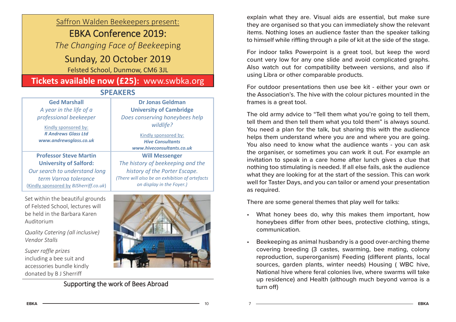## Saffron Walden Beekeepers present:

# EBKA Conference 2019:

*The Changing Face of Beekee*ping

# Sunday, 20 October 2019

Felsted School, Dunmow, CM6 3JL

# **Tickets available now (£25):** www.swbka.org

## **SPEAKERS**

| <b>Ged Marshall</b><br>A year in the life of a                                                                                                                     | <b>Dr Jonas Geldman</b><br><b>University of Cambridge</b>                                                                                                                  |
|--------------------------------------------------------------------------------------------------------------------------------------------------------------------|----------------------------------------------------------------------------------------------------------------------------------------------------------------------------|
| professional beekeeper                                                                                                                                             | Does conserving honeybees help                                                                                                                                             |
| Kindly sponsored by:<br><b>R</b> Andrews Glass Ltd<br>www.andrewsglass.co.uk                                                                                       | wildlife?<br>Kindly sponsored by:<br><b>Hive Consultants</b><br>www.hiveconsultants.co.uk                                                                                  |
| <b>Professor Steve Martin</b><br><b>University of Salford:</b><br>Our search to understand long<br>term Varroa tolerance<br>(Kindly sponsored by BJSherriff.co.uk) | <b>Will Messenger</b><br>The history of beekeeping and the<br>history of the Porter Escape.<br>(There will also be an exhibition of artefacts<br>on display in the Foyer.) |
| Set within the beautiful grounds                                                                                                                                   |                                                                                                                                                                            |

of Felsted School, lectures will be held in the Barbara Karen Auditorium

*Quality Catering (all inclusive) Vendor Stalls*

*Super raffle prizes*  including a bee suit and accessories bundle kindly donated by B J Sherriff



Supporting the work of Bees Abroad

explain what they are. Visual aids are essential, but make sure they are organised so that you can immediately show the relevant items. Nothing loses an audience faster than the speaker talking to himself while riffling through a pile of kit at the side of the stage.

For indoor talks Powerpoint is a great tool, but keep the word count very low for any one slide and avoid complicated graphs. Also watch out for compatibility between versions, and also if using Libra or other comparable products.

For outdoor presentations then use bee kit - either your own or the Association's. The hive with the colour pictures mounted in the frames is a great tool.

The old army advice to "Tell them what you're going to tell them, tell them and then tell them what you told them" is always sound. You need a plan for the talk, but sharing this with the audience helps them understand where you are and where you are going. You also need to know what the audience wants - you can ask the organiser, or sometimes you can work it out. For example an invitation to speak in a care home after lunch gives a clue that nothing too stimulating is needed. If all else fails, ask the audience what they are looking for at the start of the session. This can work well for Taster Days, and you can tailor or amend your presentation as required.

There are some general themes that play well for talks:

- What honey bees do, why this makes them important, how honeybees differ from other bees, protective clothing, stings, communication.
- Beekeeping as animal husbandry is a good over-arching theme covering breeding (3 castes, swarming, bee mating, colony reproduction, superorganism) Feeding (different plants, local sources, garden plants, winter needs) Housing ( WBC hive, National hive where feral colonies live, where swarms will take up residence) and Health (although much beyond varroa is a turn off)